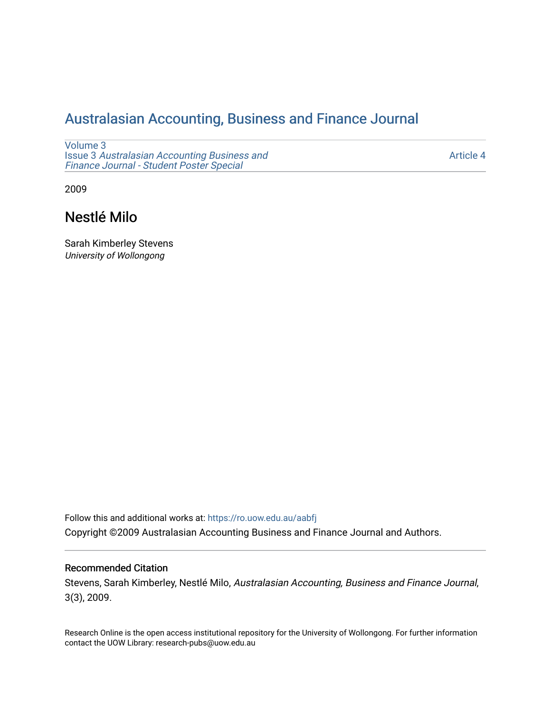## [Australasian Accounting, Business and Finance Journal](https://ro.uow.edu.au/aabfj)

[Volume 3](https://ro.uow.edu.au/aabfj/vol3) Issue 3 [Australasian Accounting Business and](https://ro.uow.edu.au/aabfj/vol3/iss3) [Finance Journal - Student Poster Special](https://ro.uow.edu.au/aabfj/vol3/iss3)

[Article 4](https://ro.uow.edu.au/aabfj/vol3/iss3/4) 

2009

# Nestlé Milo

Sarah Kimberley Stevens University of Wollongong

Follow this and additional works at: [https://ro.uow.edu.au/aabfj](https://ro.uow.edu.au/aabfj?utm_source=ro.uow.edu.au%2Faabfj%2Fvol3%2Fiss3%2F4&utm_medium=PDF&utm_campaign=PDFCoverPages) Copyright ©2009 Australasian Accounting Business and Finance Journal and Authors.

#### Recommended Citation

Stevens, Sarah Kimberley, Nestlé Milo, Australasian Accounting, Business and Finance Journal, 3(3), 2009.

Research Online is the open access institutional repository for the University of Wollongong. For further information contact the UOW Library: research-pubs@uow.edu.au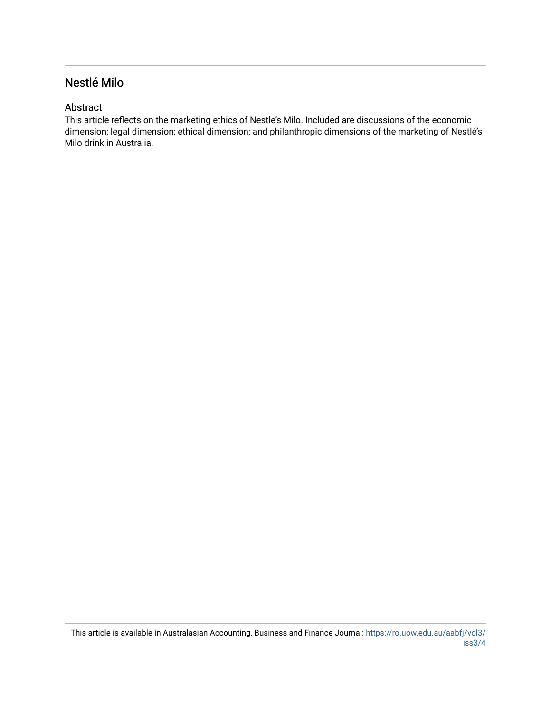## Nestlé Milo

#### Abstract

This article reflects on the marketing ethics of Nestle's Milo. Included are discussions of the economic dimension; legal dimension; ethical dimension; and philanthropic dimensions of the marketing of Nestlé's Milo drink in Australia.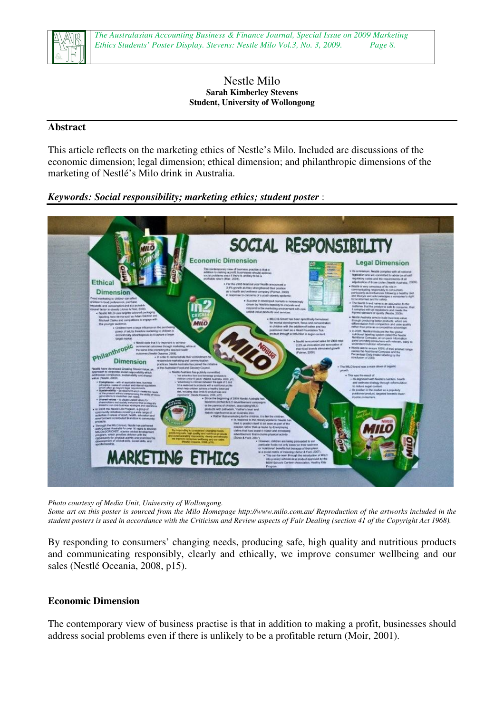

#### Nestle Milo **Sarah Kimberley Stevens Student, University of Wollongong**

#### **Abstract**

This article reflects on the marketing ethics of Nestle's Milo. Included are discussions of the economic dimension; legal dimension; ethical dimension; and philanthropic dimensions of the marketing of Nestlé's Milo drink in Australia.

#### *Keywords: Social responsibility; marketing ethics; student poster* :



*Photo courtesy of Media Unit, University of Wollongong.* 

*Some art on this poster is sourced from the Milo Homepage http://www.milo.com.au/ Reproduction of the artworks included in the student posters is used in accordance with the Criticism and Review aspects of Fair Dealing (section 41 of the Copyright Act 1968).* 

By responding to consumers' changing needs, producing safe, high quality and nutritious products and communicating responsibly, clearly and ethically, we improve consumer wellbeing and our sales (Nestlé Oceania, 2008, p15).

#### **Economic Dimension**

The contemporary view of business practise is that in addition to making a profit, businesses should address social problems even if there is unlikely to be a profitable return (Moir, 2001).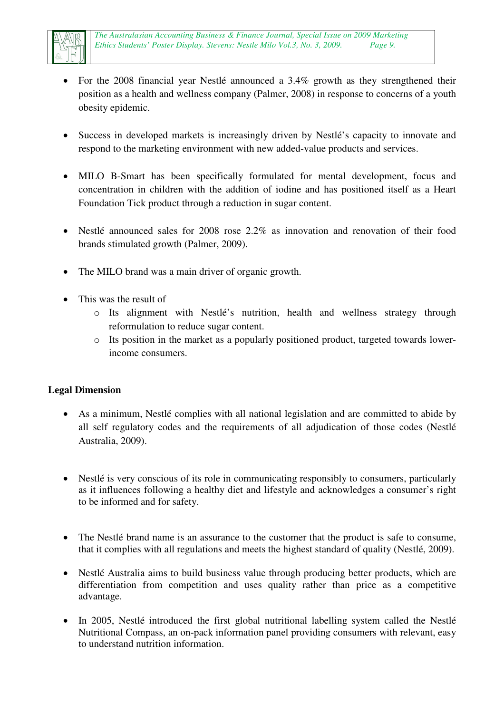

- For the 2008 financial year Nestlé announced a 3.4% growth as they strengthened their position as a health and wellness company (Palmer, 2008) in response to concerns of a youth obesity epidemic.
- Success in developed markets is increasingly driven by Nestlé's capacity to innovate and respond to the marketing environment with new added-value products and services.
- MILO B-Smart has been specifically formulated for mental development, focus and concentration in children with the addition of iodine and has positioned itself as a Heart Foundation Tick product through a reduction in sugar content.
- Nestlé announced sales for 2008 rose 2.2% as innovation and renovation of their food brands stimulated growth (Palmer, 2009).
- The MILO brand was a main driver of organic growth.
- This was the result of
	- o Its alignment with Nestlé's nutrition, health and wellness strategy through reformulation to reduce sugar content.
	- o Its position in the market as a popularly positioned product, targeted towards lowerincome consumers.

## **Legal Dimension**

- As a minimum, Nestlé complies with all national legislation and are committed to abide by all self regulatory codes and the requirements of all adjudication of those codes (Nestlé Australia, 2009).
- Nestlé is very conscious of its role in communicating responsibly to consumers, particularly as it influences following a healthy diet and lifestyle and acknowledges a consumer's right to be informed and for safety.
- The Nestlé brand name is an assurance to the customer that the product is safe to consume, that it complies with all regulations and meets the highest standard of quality (Nestlé, 2009).
- Nestlé Australia aims to build business value through producing better products, which are differentiation from competition and uses quality rather than price as a competitive advantage.
- In 2005, Nestlé introduced the first global nutritional labelling system called the Nestlé Nutritional Compass, an on-pack information panel providing consumers with relevant, easy to understand nutrition information.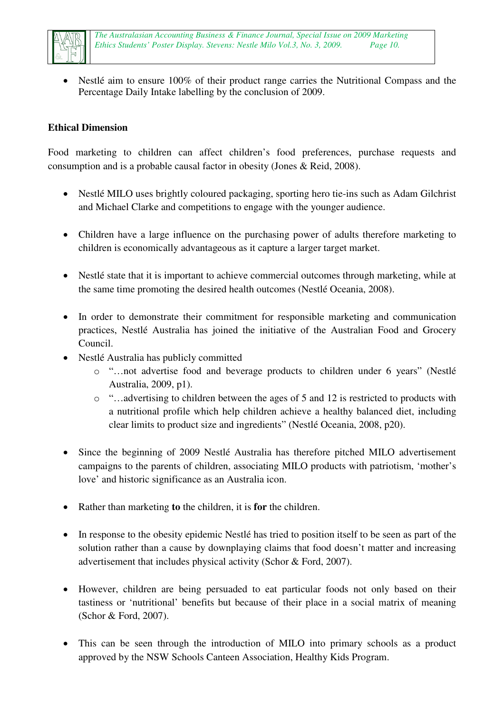

• Nestlé aim to ensure 100% of their product range carries the Nutritional Compass and the Percentage Daily Intake labelling by the conclusion of 2009.

### **Ethical Dimension**

Food marketing to children can affect children's food preferences, purchase requests and consumption and is a probable causal factor in obesity (Jones & Reid, 2008).

- Nestlé MILO uses brightly coloured packaging, sporting hero tie-ins such as Adam Gilchrist and Michael Clarke and competitions to engage with the younger audience.
- Children have a large influence on the purchasing power of adults therefore marketing to children is economically advantageous as it capture a larger target market.
- Nestlé state that it is important to achieve commercial outcomes through marketing, while at the same time promoting the desired health outcomes (Nestlé Oceania, 2008).
- In order to demonstrate their commitment for responsible marketing and communication practices, Nestlé Australia has joined the initiative of the Australian Food and Grocery Council.
- Nestlé Australia has publicly committed
	- o "…not advertise food and beverage products to children under 6 years" (Nestlé Australia, 2009, p1).
	- o "…advertising to children between the ages of 5 and 12 is restricted to products with a nutritional profile which help children achieve a healthy balanced diet, including clear limits to product size and ingredients" (Nestlé Oceania, 2008, p20).
- Since the beginning of 2009 Nestlé Australia has therefore pitched MILO advertisement campaigns to the parents of children, associating MILO products with patriotism, 'mother's love' and historic significance as an Australia icon.
- Rather than marketing **to** the children, it is **for** the children.
- In response to the obesity epidemic Nestlé has tried to position itself to be seen as part of the solution rather than a cause by downplaying claims that food doesn't matter and increasing advertisement that includes physical activity (Schor & Ford, 2007).
- However, children are being persuaded to eat particular foods not only based on their tastiness or 'nutritional' benefits but because of their place in a social matrix of meaning (Schor & Ford, 2007).
- This can be seen through the introduction of MILO into primary schools as a product approved by the NSW Schools Canteen Association, Healthy Kids Program.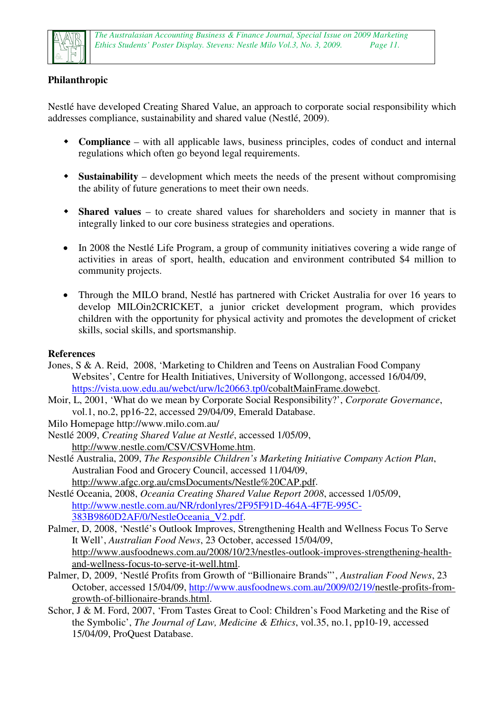

## **Philanthropic**

Nestlé have developed Creating Shared Value, an approach to corporate social responsibility which addresses compliance, sustainability and shared value (Nestlé, 2009).

- **Compliance** with all applicable laws, business principles, codes of conduct and internal regulations which often go beyond legal requirements.
- **Sustainability** development which meets the needs of the present without compromising the ability of future generations to meet their own needs.
- **Shared values** to create shared values for shareholders and society in manner that is integrally linked to our core business strategies and operations.
- In 2008 the Nestlé Life Program, a group of community initiatives covering a wide range of activities in areas of sport, health, education and environment contributed \$4 million to community projects.
- Through the MILO brand, Nestlé has partnered with Cricket Australia for over 16 years to develop MILOin2CRICKET, a junior cricket development program, which provides children with the opportunity for physical activity and promotes the development of cricket skills, social skills, and sportsmanship.

#### **References**

- Jones, S & A. Reid, 2008, 'Marketing to Children and Teens on Australian Food Company Websites', Centre for Health Initiatives, University of Wollongong, accessed 16/04/09, https://vista.uow.edu.au/webct/urw/lc20663.tp0/cobaltMainFrame.dowebct.
- Moir, L, 2001, 'What do we mean by Corporate Social Responsibility?', *Corporate Governance*, vol.1, no.2, pp16-22, accessed 29/04/09, Emerald Database.
- Milo Homepage http://www.milo.com.au/
- Nestlé 2009, *Creating Shared Value at Nestlé*, accessed 1/05/09, http://www.nestle.com/CSV/CSVHome.htm.
- Nestlé Australia, 2009, *The Responsible Children's Marketing Initiative Company Action Plan*, Australian Food and Grocery Council, accessed 11/04/09, http://www.afgc.org.au/cmsDocuments/Nestle%20CAP.pdf.
- Nestlé Oceania, 2008, *Oceania Creating Shared Value Report 2008*, accessed 1/05/09, http://www.nestle.com.au/NR/rdonlyres/2F95F91D-464A-4F7E-995C-383B9860D2AF/0/NestleOceania\_V2.pdf.
- Palmer, D, 2008, 'Nestlé's Outlook Improves, Strengthening Health and Wellness Focus To Serve It Well', *Australian Food News*, 23 October, accessed 15/04/09, http://www.ausfoodnews.com.au/2008/10/23/nestles-outlook-improves-strengthening-healthand-wellness-focus-to-serve-it-well.html.
- Palmer, D, 2009, 'Nestlé Profits from Growth of "Billionaire Brands"', *Australian Food News*, 23 October, accessed 15/04/09, http://www.ausfoodnews.com.au/2009/02/19/nestle-profits-fromgrowth-of-billionaire-brands.html.
- Schor, J & M. Ford, 2007, 'From Tastes Great to Cool: Children's Food Marketing and the Rise of the Symbolic', *The Journal of Law, Medicine & Ethics*, vol.35, no.1, pp10-19, accessed 15/04/09, ProQuest Database.